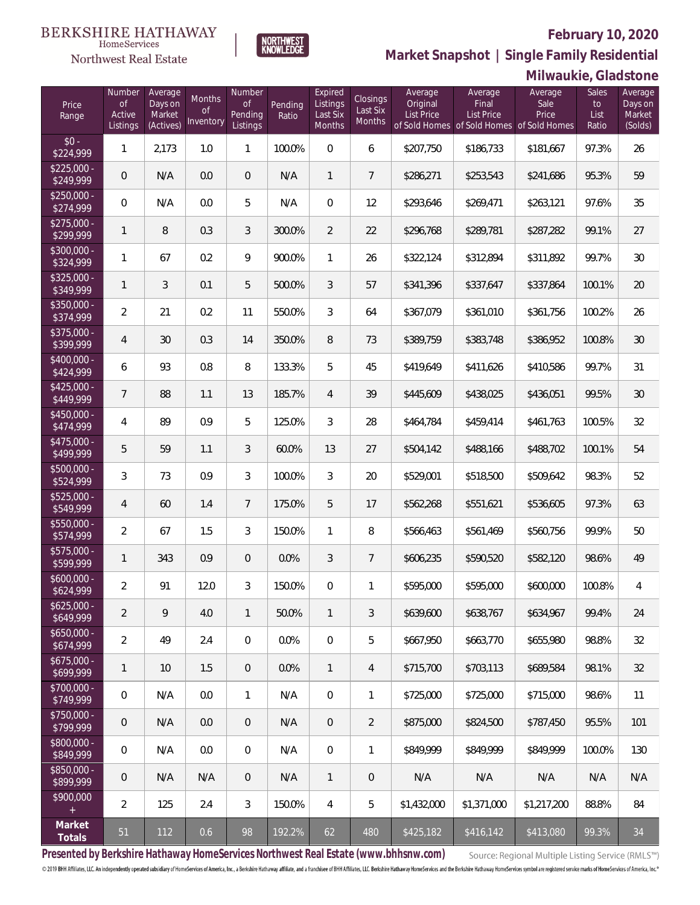

**NORTHWEST**<br>KNOWLEDGE

Northwest Real Estate

**Market Snapshot | Single Family Residential**

## **Milwaukie, Gladstone**

| Price<br>Range            | Number<br><b>of</b><br>Active<br>Listings | Average<br>Days on<br>Market<br>(Actives) | Months<br>0f<br>Inventory | Number<br><b>of</b><br>Pending<br>Listings | Pending<br>Ratio | Expired<br>Listings<br>Last Six<br><b>Months</b> | Closings<br>Last Six<br>Months | Average<br>Original<br><b>List Price</b> | Average<br>Final<br>List Price<br>of Sold Homes of Sold Homes of Sold Homes | Average<br>Sale<br>Price | Sales<br>to<br>List<br>Ratio | Average<br>Days on<br>Market<br>(Solds) |
|---------------------------|-------------------------------------------|-------------------------------------------|---------------------------|--------------------------------------------|------------------|--------------------------------------------------|--------------------------------|------------------------------------------|-----------------------------------------------------------------------------|--------------------------|------------------------------|-----------------------------------------|
| $$0 -$<br>\$224,999       | $\mathbf{1}$                              | 2,173                                     | 1.0                       | 1                                          | 100.0%           | $\Omega$                                         | 6                              | \$207,750                                | \$186,733                                                                   | \$181,667                | 97.3%                        | 26                                      |
| $$225,000 -$<br>\$249,999 | $\overline{0}$                            | N/A                                       | 0.0                       | $\overline{0}$                             | N/A              | 1                                                | $\overline{7}$                 | \$286,271                                | \$253,543                                                                   | \$241,686                | 95.3%                        | 59                                      |
| $$250,000 -$<br>\$274,999 | $\overline{0}$                            | N/A                                       | 0.0                       | 5                                          | N/A              | $\overline{0}$                                   | 12                             | \$293,646                                | \$269,471                                                                   | \$263,121                | 97.6%                        | 35                                      |
| $$275,000 -$<br>\$299,999 | $\mathbf{1}$                              | 8                                         | 0.3                       | 3                                          | 300.0%           | $\overline{2}$                                   | 22                             | \$296,768                                | \$289,781                                                                   | \$287,282                | 99.1%                        | 27                                      |
| \$300,000 -<br>\$324,999  | $\mathbf{1}$                              | 67                                        | 0.2                       | 9                                          | 900.0%           | $\mathbf{1}$                                     | 26                             | \$322,124                                | \$312,894                                                                   | \$311,892                | 99.7%                        | 30                                      |
| \$325,000 -<br>\$349,999  | $\mathbf{1}$                              | 3                                         | 0.1                       | 5                                          | 500.0%           | $\mathfrak{Z}$                                   | 57                             | \$341,396                                | \$337,647                                                                   | \$337,864                | 100.1%                       | 20                                      |
| \$350,000 -<br>\$374,999  | $\overline{2}$                            | 21                                        | 0.2                       | 11                                         | 550.0%           | 3                                                | 64                             | \$367,079                                | \$361,010                                                                   | \$361,756                | 100.2%                       | 26                                      |
| \$375,000 -<br>\$399,999  | 4                                         | 30                                        | 0.3                       | 14                                         | 350.0%           | 8                                                | 73                             | \$389,759                                | \$383,748                                                                   | \$386,952                | 100.8%                       | 30                                      |
| \$400,000 -<br>\$424,999  | 6                                         | 93                                        | 0.8                       | 8                                          | 133.3%           | 5                                                | 45                             | \$419,649                                | \$411,626                                                                   | \$410,586                | 99.7%                        | 31                                      |
| $$425,000 -$<br>\$449,999 | $\overline{7}$                            | 88                                        | 1.1                       | 13                                         | 185.7%           | $\overline{4}$                                   | 39                             | \$445,609                                | \$438,025                                                                   | \$436,051                | 99.5%                        | 30                                      |
| $$450,000 -$<br>\$474,999 | $\overline{4}$                            | 89                                        | 0.9                       | 5                                          | 125.0%           | 3                                                | 28                             | \$464,784                                | \$459,414                                                                   | \$461,763                | 100.5%                       | 32                                      |
| $$475,000 -$<br>\$499,999 | 5                                         | 59                                        | 1.1                       | 3                                          | 60.0%            | 13                                               | 27                             | \$504,142                                | \$488,166                                                                   | \$488,702                | 100.1%                       | 54                                      |
| \$500,000 -<br>\$524,999  | 3                                         | 73                                        | 0.9                       | 3                                          | 100.0%           | 3                                                | 20                             | \$529,001                                | \$518,500                                                                   | \$509,642                | 98.3%                        | 52                                      |
| $$525,000 -$<br>\$549,999 | 4                                         | 60                                        | 1.4                       | $\overline{7}$                             | 175.0%           | 5                                                | 17                             | \$562,268                                | \$551,621                                                                   | \$536,605                | 97.3%                        | 63                                      |
| \$550,000 -<br>\$574,999  | $\overline{2}$                            | 67                                        | 1.5                       | 3                                          | 150.0%           | $\mathbf{1}$                                     | 8                              | \$566,463                                | \$561,469                                                                   | \$560,756                | 99.9%                        | 50                                      |
| $$575,000 -$<br>\$599,999 | $\mathbf{1}$                              | 343                                       | 0.9                       | $\overline{0}$                             | 0.0%             | 3                                                | $\overline{7}$                 | \$606,235                                | \$590,520                                                                   | \$582,120                | 98.6%                        | 49                                      |
| $$600,000 -$<br>\$624,999 | $\overline{2}$                            | 91                                        | 12.0                      | 3                                          | 150.0%           | 0                                                | 1                              | \$595,000                                | \$595,000                                                                   | \$600,000                | 100.8%                       | 4                                       |
| $$625,000 -$<br>\$649,999 | $\overline{2}$                            | 9                                         | 4.0                       | $\mathbf{1}$                               | 50.0%            | $\mathbf{1}$                                     | 3                              | \$639,600                                | \$638,767                                                                   | \$634,967                | 99.4%                        | 24                                      |
| $$650,000 -$<br>\$674,999 | $\overline{2}$                            | 49                                        | 2.4                       | $\mathbf{0}$                               | 0.0%             | $\mathbf 0$                                      | 5                              | \$667,950                                | \$663,770                                                                   | \$655,980                | 98.8%                        | 32                                      |
| $$675,000 -$<br>\$699,999 | $\mathbf{1}$                              | 10 <sup>°</sup>                           | 1.5                       | $\overline{0}$                             | 0.0%             | $\mathbf{1}$                                     | 4                              | \$715,700                                | \$703,113                                                                   | \$689,584                | 98.1%                        | 32                                      |
| $$700,000 -$<br>\$749,999 | $\mathbf 0$                               | N/A                                       | 0.0                       | $\mathbf{1}$                               | N/A              | $\mathbf 0$                                      | 1                              | \$725,000                                | \$725,000                                                                   | \$715,000                | 98.6%                        | 11                                      |
| $$750,000 -$<br>\$799,999 | $\overline{0}$                            | N/A                                       | 0.0                       | $\overline{0}$                             | N/A              | $\sqrt{2}$                                       | $\overline{2}$                 | \$875,000                                | \$824,500                                                                   | \$787,450                | 95.5%                        | 101                                     |
| \$800,000 -<br>\$849,999  | $\mathbf 0$                               | N/A                                       | 0.0                       | $\mathbf 0$                                | N/A              | $\overline{0}$                                   | $\mathbf{1}$                   | \$849.999                                | \$849.999                                                                   | \$849.999                | 100.0%                       | 130                                     |
| \$850,000 -<br>\$899,999  | $\overline{0}$                            | N/A                                       | N/A                       | $\overline{0}$                             | N/A              | $\mathbf{1}$                                     | $\overline{0}$                 | N/A                                      | N/A                                                                         | N/A                      | N/A                          | N/A                                     |
| \$900,000<br>$+$          | $\overline{2}$                            | 125                                       | 2.4                       | 3                                          | 150.0%           | $\overline{4}$                                   | 5                              | \$1,432,000                              | \$1,371,000                                                                 | \$1,217,200              | 88.8%                        | 84                                      |
| Market<br>Totals          | 51                                        | 112                                       | 0.6                       | 98                                         | 192.2%           | 62                                               | 480                            | \$425,182                                | \$416,142                                                                   | \$413,080                | 99.3%                        | 34                                      |

**Presented by Berkshire Hathaway HomeServices Northwest Real Estate (www.bhhsnw.com)**

Source: Regional Multiple Listing Service (RMLS™)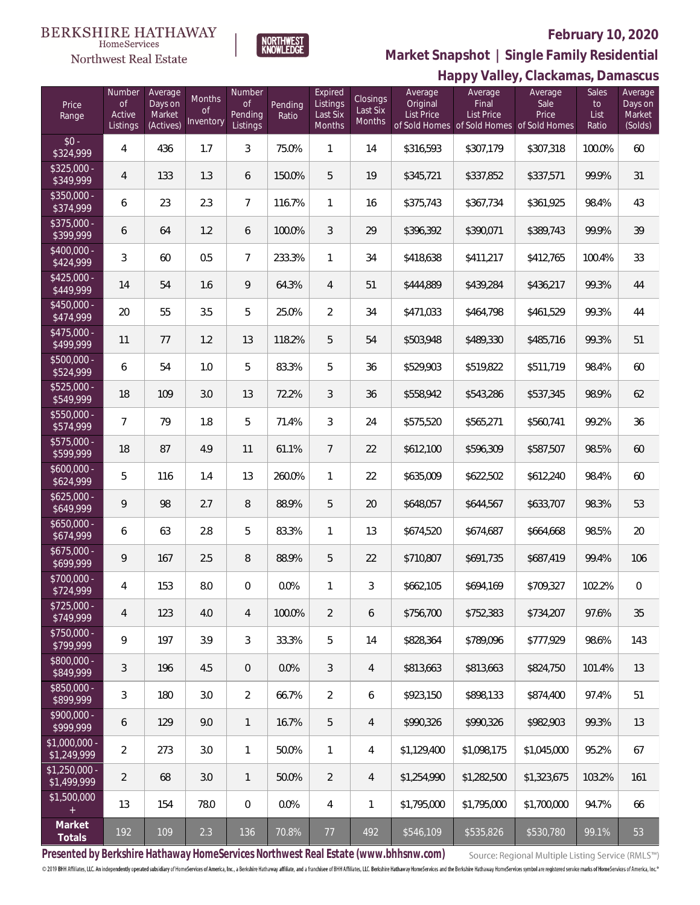#### **BERKSHIRE HATHAWAY**  $\label{lem:sevices} \textsc{Home} \textsc{Service} \textsc{s}$

Northwest Real Estate



### **February 10, 2020**

**Happy Valley, Clackamas, Damascus Market Snapshot | Single Family Residential**

| Price<br>Range                | Number<br><b>of</b><br>Active<br>Listings | Average<br>Days on<br>Market<br>(Actives) | Months<br><sub>of</sub><br>Inventory | Number<br>of<br>Pending<br>Listings | Pending<br>Ratio | Expired<br>Listings<br>Last Six<br>Months | Closings<br>Last Six<br><b>Months</b> | Average<br>Original<br><b>List Price</b> | $\cdot$ $\sim$ $\sim$ $\sim$ $\cdot$<br>Average<br>Final<br>List Price<br>of Sold Homes of Sold Homes | Average<br>Sale<br>Price<br>of Sold Homes | <b>Sales</b><br>to<br>List<br>Ratio | Average<br>Days on<br>Market<br>(Solds) |
|-------------------------------|-------------------------------------------|-------------------------------------------|--------------------------------------|-------------------------------------|------------------|-------------------------------------------|---------------------------------------|------------------------------------------|-------------------------------------------------------------------------------------------------------|-------------------------------------------|-------------------------------------|-----------------------------------------|
| $$0 -$<br>\$324,999           | $\overline{4}$                            | 436                                       | 1.7                                  | 3                                   | 75.0%            | $\mathbf{1}$                              | 14                                    | \$316,593                                | \$307,179                                                                                             | \$307,318                                 | 100.0%                              | 60                                      |
| $$325,000 -$<br>\$349,999     | $\overline{4}$                            | 133                                       | 1.3                                  | 6                                   | 150.0%           | 5                                         | 19                                    | \$345,721                                | \$337,852                                                                                             | \$337,571                                 | 99.9%                               | 31                                      |
| \$350,000 -<br>\$374,999      | 6                                         | 23                                        | 2.3                                  | $\overline{7}$                      | 116.7%           | $\mathbf{1}$                              | 16                                    | \$375,743                                | \$367,734                                                                                             | \$361,925                                 | 98.4%                               | 43                                      |
| \$375,000 -<br>\$399,999      | 6                                         | 64                                        | 1.2                                  | 6                                   | 100.0%           | $\mathfrak{Z}$                            | 29                                    | \$396,392                                | \$390,071                                                                                             | \$389,743                                 | 99.9%                               | 39                                      |
| $$400,000 -$<br>\$424,999     | 3                                         | 60                                        | 0.5                                  | $\overline{7}$                      | 233.3%           | $\mathbf{1}$                              | 34                                    | \$418,638                                | \$411,217                                                                                             | \$412,765                                 | 100.4%                              | 33                                      |
| $$425,000 -$<br>\$449,999     | 14                                        | 54                                        | 1.6                                  | 9                                   | 64.3%            | $\overline{4}$                            | 51                                    | \$444,889                                | \$439,284                                                                                             | \$436,217                                 | 99.3%                               | 44                                      |
| $$450,000 -$<br>\$474,999     | 20                                        | 55                                        | 3.5                                  | 5                                   | 25.0%            | $\overline{2}$                            | 34                                    | \$471,033                                | \$464,798                                                                                             | \$461,529                                 | 99.3%                               | 44                                      |
| $$475,000 -$<br>\$499,999     | 11                                        | 77                                        | 1.2                                  | 13                                  | 118.2%           | 5                                         | 54                                    | \$503,948                                | \$489,330                                                                                             | \$485,716                                 | 99.3%                               | 51                                      |
| $$500,000 -$<br>\$524,999     | 6                                         | 54                                        | 1.0                                  | 5                                   | 83.3%            | 5                                         | 36                                    | \$529,903                                | \$519,822                                                                                             | \$511,719                                 | 98.4%                               | 60                                      |
| \$525,000 -<br>\$549,999      | 18                                        | 109                                       | 3.0                                  | 13                                  | 72.2%            | 3                                         | 36                                    | \$558,942                                | \$543,286                                                                                             | \$537,345                                 | 98.9%                               | 62                                      |
| \$550,000 -<br>\$574,999      | $\overline{7}$                            | 79                                        | 1.8                                  | 5                                   | 71.4%            | $\mathfrak{Z}$                            | 24                                    | \$575,520                                | \$565,271                                                                                             | \$560,741                                 | 99.2%                               | 36                                      |
| \$575,000 -<br>\$599,999      | 18                                        | 87                                        | 4.9                                  | 11                                  | 61.1%            | $\overline{7}$                            | 22                                    | \$612,100                                | \$596,309                                                                                             | \$587,507                                 | 98.5%                               | 60                                      |
| $$600,000 -$<br>\$624,999     | 5                                         | 116                                       | 1.4                                  | 13                                  | 260.0%           | $\mathbf{1}$                              | 22                                    | \$635,009                                | \$622,502                                                                                             | \$612,240                                 | 98.4%                               | 60                                      |
| $$625,000 -$<br>\$649,999     | $\mathsf q$                               | 98                                        | 2.7                                  | 8                                   | 88.9%            | 5                                         | 20                                    | \$648,057                                | \$644,567                                                                                             | \$633,707                                 | 98.3%                               | 53                                      |
| $$650,000 -$<br>\$674,999     | 6                                         | 63                                        | 2.8                                  | 5                                   | 83.3%            | 1                                         | 13                                    | \$674,520                                | \$674,687                                                                                             | \$664,668                                 | 98.5%                               | 20                                      |
| $$675,000 -$<br>\$699,999     | $\mathsf q$                               | 167                                       | 2.5                                  | 8                                   | 88.9%            | 5                                         | 22                                    | \$710,807                                | \$691,735                                                                                             | \$687,419                                 | 99.4%                               | 106                                     |
| \$700,000 -<br>\$724,999      | 4                                         | 153                                       | 8.0                                  | 0                                   | 0.0%             | 1                                         | 3                                     | \$662,105                                | \$694,169                                                                                             | \$709,327                                 | 102.2%                              | $\mathbf 0$                             |
| \$725,000 -<br>\$749,999      | $\overline{4}$                            | 123                                       | 4.0                                  | $\overline{4}$                      | 100.0%           | $\overline{2}$                            | 6                                     | \$756,700                                | \$752,383                                                                                             | \$734,207                                 | 97.6%                               | 35                                      |
| $$750,000 -$<br>\$799,999     | 9                                         | 197                                       | 3.9                                  | $\mathfrak{Z}$                      | 33.3%            | 5                                         | 14                                    | \$828,364                                | \$789,096                                                                                             | \$777,929                                 | 98.6%                               | 143                                     |
| $$800,000 -$<br>\$849,999     | $\mathfrak{Z}$                            | 196                                       | 4.5                                  | $\overline{0}$                      | 0.0%             | $\mathfrak{Z}$                            | 4                                     | \$813,663                                | \$813,663                                                                                             | \$824,750                                 | 101.4%                              | 13                                      |
| $$850,000 -$<br>\$899,999     | $\mathfrak{Z}$                            | 180                                       | 3.0                                  | $\overline{2}$                      | 66.7%            | $\overline{2}$                            | 6                                     | \$923,150                                | \$898,133                                                                                             | \$874,400                                 | 97.4%                               | 51                                      |
| $$900,000 -$<br>\$999,999     | 6                                         | 129                                       | 9.0                                  | $\mathbf{1}$                        | 16.7%            | 5                                         | 4                                     | \$990,326                                | \$990,326                                                                                             | \$982,903                                 | 99.3%                               | 13                                      |
| \$1,000,000 -<br>\$1,249,999  | $\overline{2}$                            | 273                                       | 3.0                                  | $\mathbf{1}$                        | 50.0%            | $\mathbf{1}$                              | 4                                     | \$1,129,400                              | \$1,098,175                                                                                           | \$1,045,000                               | 95.2%                               | 67                                      |
| $$1,250,000$ -<br>\$1,499,999 | $\overline{2}$                            | 68                                        | 3.0                                  | $\mathbf{1}$                        | 50.0%            | $\overline{2}$                            | 4                                     | \$1,254,990                              | \$1,282,500                                                                                           | \$1,323,675                               | 103.2%                              | 161                                     |
| \$1,500,000<br>$+$            | 13                                        | 154                                       | 78.0                                 | $\overline{0}$                      | 0.0%             | $\overline{4}$                            | 1                                     | \$1,795,000                              | \$1,795,000                                                                                           | \$1,700,000                               | 94.7%                               | 66                                      |
| Market<br>Totals              | 192                                       | 109                                       | 2.3                                  | 136                                 | 70.8%            | 77                                        | 492                                   | \$546,109                                | \$535,826                                                                                             | \$530,780                                 | 99.1%                               | 53                                      |

**Presented by Berkshire Hathaway HomeServices Northwest Real Estate (www.bhhsnw.com)**

Source: Regional Multiple Listing Service (RMLS™)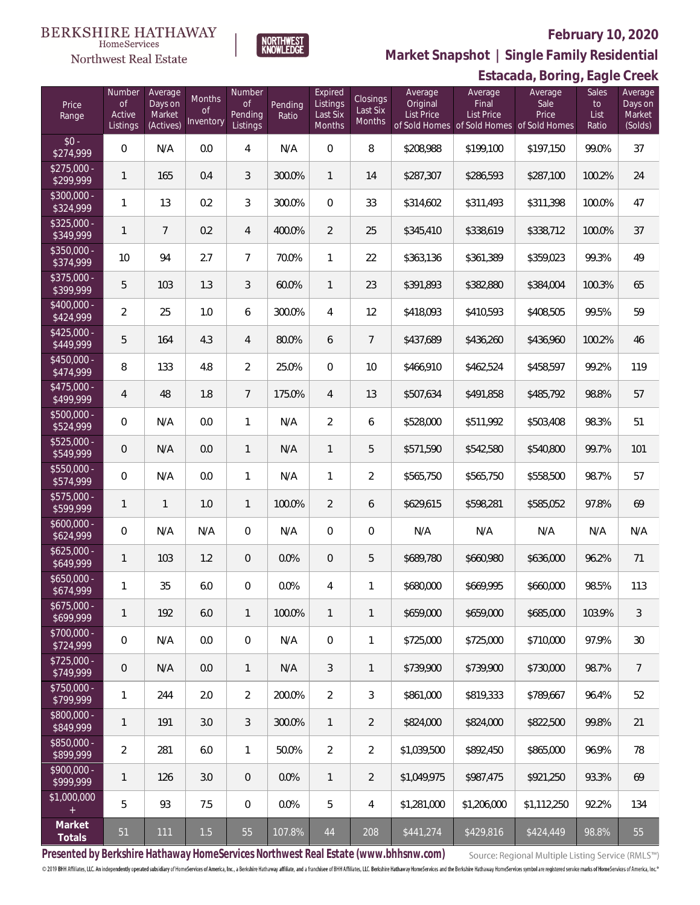

NORTHWEST<br>KNOWLEDGE

Northwest Real Estate

**Market Snapshot | Single Family Residential**

# **Estacada, Boring, Eagle Creek**

| Price<br>Range            | Number<br><b>of</b><br>Active<br>Listings | Average<br>Days on<br>Market<br>(Actives) | Months<br>0f<br>Inventory | Number<br><b>of</b><br>Pending<br>Listings | Pending<br>Ratio | Expired<br>Listings<br>Last Six<br>Months | <b>Closings</b><br>Last Six<br>Months | Average<br>Original<br>List Price | Average<br>Final<br>List Price<br>of Sold Homes of Sold Homes of Sold Homes | Average<br>Sale<br>Price | Sales<br>to<br>List<br>Ratio | Average<br>Days on<br>Market<br>(Solds) |
|---------------------------|-------------------------------------------|-------------------------------------------|---------------------------|--------------------------------------------|------------------|-------------------------------------------|---------------------------------------|-----------------------------------|-----------------------------------------------------------------------------|--------------------------|------------------------------|-----------------------------------------|
| $$0 -$<br>\$274,999       | $\overline{0}$                            | N/A                                       | 0.0                       | 4                                          | N/A              | $\Omega$                                  | 8                                     | \$208,988                         | \$199,100                                                                   | \$197,150                | 99.0%                        | 37                                      |
| $$275,000 -$<br>\$299,999 | 1                                         | 165                                       | 0.4                       | 3                                          | 300.0%           | $\mathbf{1}$                              | 14                                    | \$287,307                         | \$286,593                                                                   | \$287,100                | 100.2%                       | 24                                      |
| $$300,000 -$<br>\$324,999 | 1                                         | 13                                        | 0.2                       | 3                                          | 300.0%           | $\overline{0}$                            | 33                                    | \$314,602                         | \$311,493                                                                   | \$311,398                | 100.0%                       | 47                                      |
| $$325,000 -$<br>\$349,999 | 1                                         | $\overline{7}$                            | 0.2                       | 4                                          | 400.0%           | $\overline{2}$                            | 25                                    | \$345,410                         | \$338,619                                                                   | \$338,712                | 100.0%                       | 37                                      |
| $$350,000 -$<br>\$374,999 | 10                                        | 94                                        | 2.7                       | $\overline{7}$                             | 70.0%            | $\mathbf{1}$                              | 22                                    | \$363,136                         | \$361,389                                                                   | \$359,023                | 99.3%                        | 49                                      |
| \$375,000 -<br>\$399,999  | 5                                         | 103                                       | 1.3                       | 3                                          | 60.0%            | $\mathbf{1}$                              | 23                                    | \$391,893                         | \$382,880                                                                   | \$384,004                | 100.3%                       | 65                                      |
| $$400,000 -$<br>\$424,999 | $\overline{2}$                            | 25                                        | 1.0                       | 6                                          | 300.0%           | 4                                         | 12                                    | \$418,093                         | \$410,593                                                                   | \$408,505                | 99.5%                        | 59                                      |
| $$425,000 -$<br>\$449,999 | 5                                         | 164                                       | 4.3                       | 4                                          | 80.0%            | 6                                         | $\overline{7}$                        | \$437,689                         | \$436,260                                                                   | \$436,960                | 100.2%                       | 46                                      |
| $$450,000 -$<br>\$474,999 | 8                                         | 133                                       | 4.8                       | $\overline{2}$                             | 25.0%            | $\overline{0}$                            | 10                                    | \$466,910                         | \$462,524                                                                   | \$458,597                | 99.2%                        | 119                                     |
| $$475,000 -$<br>\$499,999 | $\overline{4}$                            | 48                                        | 1.8                       | $\overline{7}$                             | 175.0%           | $\overline{4}$                            | 13                                    | \$507,634                         | \$491,858                                                                   | \$485,792                | 98.8%                        | 57                                      |
| $$500,000 -$<br>\$524,999 | 0                                         | N/A                                       | 0.0                       | $\mathbf{1}$                               | N/A              | $\overline{2}$                            | 6                                     | \$528,000                         | \$511,992                                                                   | \$503,408                | 98.3%                        | 51                                      |
| \$525,000 -<br>\$549,999  | $\mathbf 0$                               | N/A                                       | 0.0                       | $\mathbf{1}$                               | N/A              | $\mathbf{1}$                              | 5                                     | \$571,590                         | \$542,580                                                                   | \$540,800                | 99.7%                        | 101                                     |
| \$550,000 -<br>\$574,999  | $\overline{0}$                            | N/A                                       | 0.0                       | $\mathbf{1}$                               | N/A              | $\mathbf{1}$                              | $\sqrt{2}$                            | \$565,750                         | \$565,750                                                                   | \$558,500                | 98.7%                        | 57                                      |
| $$575,000 -$<br>\$599,999 | 1                                         | 1                                         | 1.0                       | $\mathbf{1}$                               | 100.0%           | $\overline{2}$                            | 6                                     | \$629,615                         | \$598,281                                                                   | \$585,052                | 97.8%                        | 69                                      |
| $$600,000 -$<br>\$624,999 | 0                                         | N/A                                       | N/A                       | $\overline{0}$                             | N/A              | $\overline{0}$                            | $\mathbf 0$                           | N/A                               | N/A                                                                         | N/A                      | N/A                          | N/A                                     |
| $$625,000 -$<br>\$649,999 | 1                                         | 103                                       | 1.2                       | $\overline{0}$                             | 0.0%             | $\overline{0}$                            | 5                                     | \$689,780                         | \$660,980                                                                   | \$636,000                | 96.2%                        | 71                                      |
| $$650,000 -$<br>\$674,999 | 1                                         | 35                                        | 6.0                       | $\overline{0}$                             | 0.0%             | 4                                         | 1                                     | \$680,000                         | \$669,995                                                                   | \$660,000                | 98.5%                        | 113                                     |
| $$675,000 -$<br>\$699,999 | 1                                         | 192                                       | 6.0                       | $\mathbf{1}$                               | 100.0%           | $\mathbf{1}$                              | $\mathbf{1}$                          | \$659,000                         | \$659,000                                                                   | \$685,000                | 103.9%                       | 3                                       |
| $$700,000 -$<br>\$724,999 | $\boldsymbol{0}$                          | N/A                                       | 0.0                       | $\boldsymbol{0}$                           | N/A              | $\mathbf{0}$                              | 1                                     | \$725,000                         | \$725,000                                                                   | \$710,000                | 97.9%                        | 30                                      |
| $$725,000 -$<br>\$749,999 | $\mathbf 0$                               | N/A                                       | 0.0                       | $\mathbf{1}$                               | N/A              | 3                                         | $\mathbf{1}$                          | \$739,900                         | \$739,900                                                                   | \$730,000                | 98.7%                        | $\overline{7}$                          |
| $$750,000 -$<br>\$799,999 | 1                                         | 244                                       | 2.0                       | $\overline{2}$                             | 200.0%           | $\overline{2}$                            | 3                                     | \$861,000                         | \$819,333                                                                   | \$789,667                | 96.4%                        | 52                                      |
| $$800,000 -$<br>\$849,999 | 1                                         | 191                                       | 3.0                       | 3                                          | 300.0%           | $\mathbf{1}$                              | $\overline{2}$                        | \$824,000                         | \$824,000                                                                   | \$822,500                | 99.8%                        | 21                                      |
| \$850,000 -<br>\$899,999  | $\overline{2}$                            | 281                                       | 6.0                       | $\mathbf{1}$                               | 50.0%            | $\overline{2}$                            | $\overline{2}$                        | \$1,039,500                       | \$892,450                                                                   | \$865,000                | 96.9%                        | 78                                      |
| $$900,000 -$<br>\$999,999 | $\mathbf{1}$                              | 126                                       | 3.0                       | $\overline{0}$                             | 0.0%             | $\mathbf{1}$                              | $\overline{2}$                        | \$1,049,975                       | \$987,475                                                                   | \$921,250                | 93.3%                        | 69                                      |
| \$1,000,000<br>$+$        | 5                                         | 93                                        | 7.5                       | $\boldsymbol{0}$                           | 0.0%             | 5                                         | 4                                     | \$1,281,000                       | \$1,206,000                                                                 | \$1,112,250              | 92.2%                        | 134                                     |
| Market<br>Totals          | 51                                        | 111                                       | 1.5                       | 55                                         | 107.8%           | 44                                        | 208                                   | \$441,274                         | \$429,816                                                                   | \$424,449                | 98.8%                        | 55                                      |

**Presented by Berkshire Hathaway HomeServices Northwest Real Estate (www.bhhsnw.com)**

Source: Regional Multiple Listing Service (RMLS™)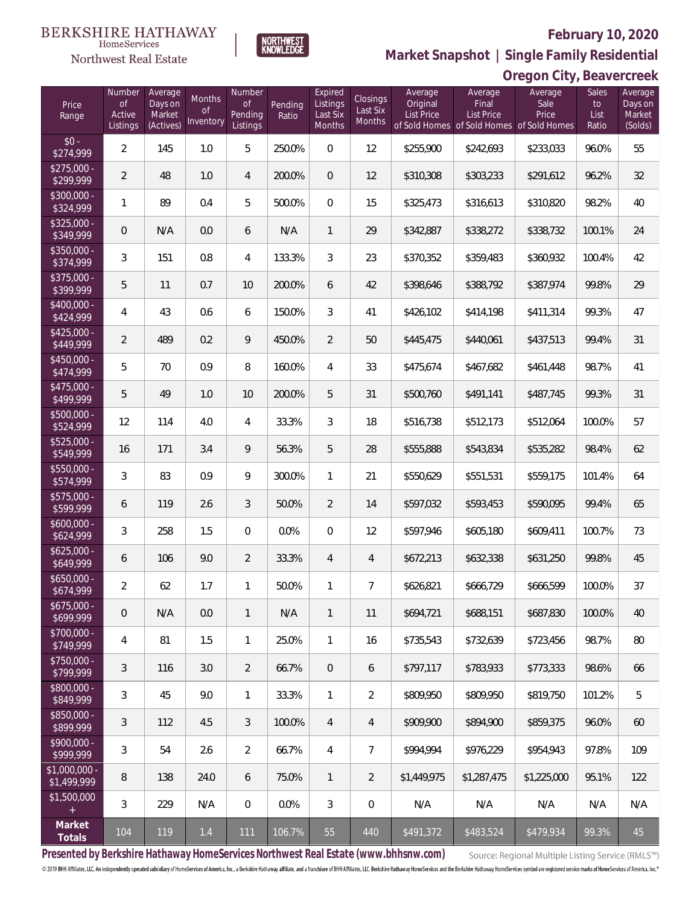**Oregon City, Beavercreek**



**Market Snapshot | Single Family Residential**

#### NORTHWEST<br>KNOWLEDGE HomeServices Northwest Real Estate

| Price<br>Range                | Number<br><b>of</b><br>Active<br>Listings | Average<br>Days on<br>Market<br>(Actives) | <b>Months</b><br>Οf<br>Inventory | Number<br>Οf<br>Pending<br>Listings | Pending<br>Ratio | Expired<br>Listings<br>Last Six<br>Months | Closings<br>Last Six<br>Months | Average<br>Original<br><b>List Price</b> | Average<br>Final<br><b>List Price</b><br>of Sold Homes of Sold Homes of Sold Homes | Average<br>Sale<br>Price | Sales<br>to<br>List<br>Ratio | Average<br>Days on<br>Market<br>(Solds) |
|-------------------------------|-------------------------------------------|-------------------------------------------|----------------------------------|-------------------------------------|------------------|-------------------------------------------|--------------------------------|------------------------------------------|------------------------------------------------------------------------------------|--------------------------|------------------------------|-----------------------------------------|
| $$0 -$<br>\$274,999           | $\overline{2}$                            | 145                                       | 1.0                              | 5                                   | 250.0%           | $\Omega$                                  | 12                             | \$255,900                                | \$242,693                                                                          | \$233,033                | 96.0%                        | 55                                      |
| $$275,000 -$<br>\$299,999     | $\overline{2}$                            | 48                                        | 1.0                              | $\overline{4}$                      | 200.0%           | $\overline{0}$                            | 12                             | \$310,308                                | \$303,233                                                                          | \$291,612                | 96.2%                        | 32                                      |
| $$300,000 -$<br>\$324,999     | 1                                         | 89                                        | 0.4                              | 5                                   | 500.0%           | $\Omega$                                  | 15                             | \$325,473                                | \$316,613                                                                          | \$310,820                | 98.2%                        | 40                                      |
| $$325,000 -$<br>\$349,999     | $\overline{0}$                            | N/A                                       | 0.0                              | 6                                   | N/A              | $\mathbf{1}$                              | 29                             | \$342,887                                | \$338,272                                                                          | \$338,732                | 100.1%                       | 24                                      |
| \$350,000 -<br>\$374,999      | 3                                         | 151                                       | 0.8                              | $\overline{4}$                      | 133.3%           | $\mathfrak{Z}$                            | 23                             | \$370,352                                | \$359,483                                                                          | \$360,932                | 100.4%                       | 42                                      |
| \$375,000 -<br>\$399,999      | 5                                         | 11                                        | 0.7                              | 10                                  | 200.0%           | 6                                         | 42                             | \$398,646                                | \$388,792                                                                          | \$387,974                | 99.8%                        | 29                                      |
| $$400,000 -$<br>\$424,999     | 4                                         | 43                                        | 0.6                              | 6                                   | 150.0%           | 3                                         | 41                             | \$426,102                                | \$414,198                                                                          | \$411,314                | 99.3%                        | 47                                      |
| $$425,000 -$<br>\$449,999     | $\overline{2}$                            | 489                                       | 0.2                              | 9                                   | 450.0%           | $\overline{2}$                            | 50                             | \$445,475                                | \$440,061                                                                          | \$437,513                | 99.4%                        | 31                                      |
| \$450,000 -<br>\$474,999      | 5                                         | 70                                        | 0.9                              | 8                                   | 160.0%           | $\overline{4}$                            | 33                             | \$475,674                                | \$467,682                                                                          | \$461,448                | 98.7%                        | 41                                      |
| \$475,000 -<br>\$499,999      | 5                                         | 49                                        | 1.0                              | 10                                  | 200.0%           | 5                                         | 31                             | \$500,760                                | \$491,141                                                                          | \$487,745                | 99.3%                        | 31                                      |
| \$500,000 -<br>\$524,999      | 12                                        | 114                                       | 4.0                              | $\overline{4}$                      | 33.3%            | $\mathfrak{Z}$                            | 18                             | \$516,738                                | \$512,173                                                                          | \$512,064                | 100.0%                       | 57                                      |
| \$525,000 -<br>\$549,999      | 16                                        | 171                                       | 3.4                              | 9                                   | 56.3%            | 5                                         | 28                             | \$555,888                                | \$543,834                                                                          | \$535,282                | 98.4%                        | 62                                      |
| \$550,000 -<br>\$574,999      | 3                                         | 83                                        | 0.9                              | 9                                   | 300.0%           | $\mathbf{1}$                              | 21                             | \$550,629                                | \$551,531                                                                          | \$559,175                | 101.4%                       | 64                                      |
| $$575,000 -$<br>\$599,999     | 6                                         | 119                                       | 2.6                              | 3                                   | 50.0%            | $\overline{2}$                            | 14                             | \$597,032                                | \$593,453                                                                          | \$590,095                | 99.4%                        | 65                                      |
| $$600,000 -$<br>\$624,999     | 3                                         | 258                                       | 1.5                              | $\mathbf{0}$                        | 0.0%             | $\Omega$                                  | 12                             | \$597,946                                | \$605,180                                                                          | \$609,411                | 100.7%                       | 73                                      |
| $$625,000 -$<br>\$649,999     | 6                                         | 106                                       | 9.0                              | 2                                   | 33.3%            | $\overline{4}$                            | $\overline{4}$                 | \$672,213                                | \$632,338                                                                          | \$631,250                | 99.8%                        | 45                                      |
| $$650,000 -$<br>\$674,999     | $\overline{2}$                            | 62                                        | 1.7                              | 1                                   | 50.0%            | $\mathbf{1}$                              | $\overline{7}$                 | \$626,821                                | \$666,729                                                                          | \$666,599                | 100.0%                       | 37                                      |
| $$675,000 -$<br>\$699,999     | $\mathbf 0$                               | N/A                                       | 0.0                              | $\mathbf{1}$                        | N/A              | $\mathbf{1}$                              | 11                             | \$694,721                                | \$688,151                                                                          | \$687,830                | 100.0%                       | 40                                      |
| \$700,000 -<br>\$749,999      | 4                                         | 81                                        | 1.5                              | $\mathbf{1}$                        | 25.0%            | $\mathbf{1}$                              | 16                             | \$735,543                                | \$732,639                                                                          | \$723,456                | 98.7%                        | 80                                      |
| \$750,000 -<br>\$799,999      | $\mathfrak{Z}$                            | 116                                       | 3.0                              | $\overline{2}$                      | 66.7%            | $\mathbf{0}$                              | 6                              | \$797,117                                | \$783,933                                                                          | \$773,333                | 98.6%                        | 66                                      |
| \$800,000 -<br>\$849,999      | 3                                         | 45                                        | 9.0                              | $\mathbf{1}$                        | 33.3%            | $\mathbf{1}$                              | $\overline{2}$                 | \$809,950                                | \$809,950                                                                          | \$819,750                | 101.2%                       | 5                                       |
| \$850,000 -<br>\$899,999      | $\mathfrak{Z}$                            | 112                                       | 4.5                              | $\mathfrak{Z}$                      | 100.0%           | $\overline{4}$                            | $\overline{4}$                 | \$909,900                                | \$894,900                                                                          | \$859,375                | 96.0%                        | 60                                      |
| \$900,000 -<br>\$999,999      | $\mathfrak{Z}$                            | 54                                        | 2.6                              | $\overline{2}$                      | 66.7%            | $\overline{4}$                            | $\overline{7}$                 | \$994,994                                | \$976,229                                                                          | \$954,943                | 97.8%                        | 109                                     |
| $$1,000,000 -$<br>\$1,499,999 | 8                                         | 138                                       | 24.0                             | 6                                   | 75.0%            | $\mathbf{1}$                              | $\overline{2}$                 | \$1,449,975                              | \$1,287,475                                                                        | \$1,225,000              | 95.1%                        | 122                                     |
| \$1,500,000<br>$+$            | $\mathfrak{Z}$                            | 229                                       | N/A                              | $\mathbf 0$                         | 0.0%             | $\mathfrak{Z}$                            | $\mathbf 0$                    | N/A                                      | N/A                                                                                | N/A                      | N/A                          | N/A                                     |
| Market<br>Totals              | 104                                       | 119                                       | $1.4$                            | 111                                 | 106.7%           | 55                                        | 440                            | \$491,372                                | \$483,524                                                                          | \$479,934                | 99.3%                        | 45                                      |

**Presented by Berkshire Hathaway HomeServices Northwest Real Estate (www.bhhsnw.com)**

Source: Regional Multiple Listing Service (RMLS™)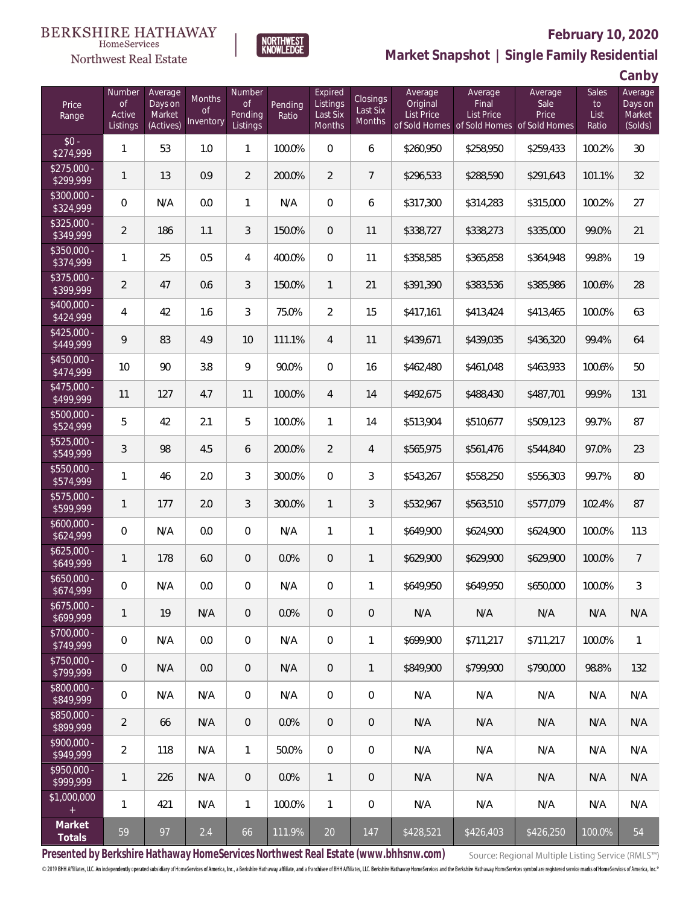



## **February 10, 2020**

**Market Snapshot | Single Family Residential**

**Canby**

| Price<br>Range            | Number<br><b>of</b><br>Active<br>Listings | Average<br>Days on<br>Market<br>(Actives) | <b>Months</b><br><b>of</b><br><b>Inventory</b> | Number<br><b>of</b><br>Pending<br>Listings | Pending<br>Ratio | Expired<br>Listings<br>Last Six<br>Months | Closings<br>Last Six<br><b>Months</b> | Average<br>Original<br>List Price | Average<br>Final<br>List Price<br>of Sold Homes of Sold Homes of Sold Homes | Average<br>Sale<br>Price | Sales<br>to<br>List<br>Ratio | J<br>Average<br>Days on<br>Market<br>(Solds) |
|---------------------------|-------------------------------------------|-------------------------------------------|------------------------------------------------|--------------------------------------------|------------------|-------------------------------------------|---------------------------------------|-----------------------------------|-----------------------------------------------------------------------------|--------------------------|------------------------------|----------------------------------------------|
| $$0 -$<br>\$274,999       | $\mathbf{1}$                              | 53                                        | 1.0                                            | $\mathbf{1}$                               | 100.0%           | $\boldsymbol{0}$                          | 6                                     | \$260,950                         | \$258,950                                                                   | \$259,433                | 100.2%                       | 30                                           |
| $$275,000 -$<br>\$299,999 | 1                                         | 13                                        | 0.9                                            | $\overline{2}$                             | 200.0%           | $\overline{2}$                            | $\overline{7}$                        | \$296,533                         | \$288,590                                                                   | \$291,643                | 101.1%                       | 32                                           |
| \$300,000 -<br>\$324,999  | $\mathbf 0$                               | N/A                                       | 0.0                                            | $\mathbf{1}$                               | N/A              | $\boldsymbol{0}$                          | 6                                     | \$317,300                         | \$314,283                                                                   | \$315,000                | 100.2%                       | 27                                           |
| $$325,000 -$<br>\$349,999 | $\overline{2}$                            | 186                                       | 1.1                                            | 3                                          | 150.0%           | $\boldsymbol{0}$                          | 11                                    | \$338,727                         | \$338,273                                                                   | \$335,000                | 99.0%                        | 21                                           |
| \$350,000 -<br>\$374,999  | 1                                         | 25                                        | 0.5                                            | $\overline{4}$                             | 400.0%           | $\overline{0}$                            | 11                                    | \$358,585                         | \$365,858                                                                   | \$364,948                | 99.8%                        | 19                                           |
| \$375,000 -<br>\$399,999  | $\overline{2}$                            | 47                                        | 0.6                                            | 3                                          | 150.0%           | $\mathbf{1}$                              | 21                                    | \$391,390                         | \$383,536                                                                   | \$385,986                | 100.6%                       | 28                                           |
| $$400,000 -$<br>\$424,999 | 4                                         | 42                                        | 1.6                                            | 3                                          | 75.0%            | $\overline{2}$                            | 15                                    | \$417,161                         | \$413,424                                                                   | \$413,465                | 100.0%                       | 63                                           |
| $$425,000 -$<br>\$449,999 | 9                                         | 83                                        | 4.9                                            | 10                                         | 111.1%           | $\overline{4}$                            | 11                                    | \$439,671                         | \$439,035                                                                   | \$436,320                | 99.4%                        | 64                                           |
| $$450,000 -$<br>\$474,999 | 10                                        | 90                                        | 3.8                                            | 9                                          | 90.0%            | $\boldsymbol{0}$                          | 16                                    | \$462,480                         | \$461,048                                                                   | \$463,933                | 100.6%                       | 50                                           |
| $$475,000 -$<br>\$499,999 | 11                                        | 127                                       | 4.7                                            | 11                                         | 100.0%           | $\overline{4}$                            | 14                                    | \$492,675                         | \$488,430                                                                   | \$487,701                | 99.9%                        | 131                                          |
| $$500,000 -$<br>\$524,999 | 5                                         | 42                                        | 2.1                                            | 5                                          | 100.0%           | $\mathbf{1}$                              | 14                                    | \$513,904                         | \$510,677                                                                   | \$509,123                | 99.7%                        | 87                                           |
| \$525,000 -<br>\$549,999  | 3                                         | 98                                        | 4.5                                            | 6                                          | 200.0%           | $\overline{2}$                            | 4                                     | \$565,975                         | \$561,476                                                                   | \$544,840                | 97.0%                        | 23                                           |
| \$550,000 -<br>\$574,999  | 1                                         | 46                                        | 2.0                                            | $\mathfrak{Z}$                             | 300.0%           | $\mathbf 0$                               | 3                                     | \$543,267                         | \$558,250                                                                   | \$556,303                | 99.7%                        | 80                                           |
| \$575,000 -<br>\$599,999  | 1                                         | 177                                       | 2.0                                            | 3                                          | 300.0%           | $\mathbf{1}$                              | 3                                     | \$532,967                         | \$563,510                                                                   | \$577,079                | 102.4%                       | 87                                           |
| $$600,000 -$<br>\$624,999 | $\mathbf 0$                               | N/A                                       | 0.0                                            | $\boldsymbol{0}$                           | N/A              | $\mathbf{1}$                              | 1                                     | \$649,900                         | \$624,900                                                                   | \$624,900                | 100.0%                       | 113                                          |
| $$625,000 -$<br>\$649,999 | 1                                         | 178                                       | 6.0                                            | $\mathbf 0$                                | 0.0%             | $\boldsymbol{0}$                          | $\mathbf{1}$                          | \$629,900                         | \$629,900                                                                   | \$629,900                | 100.0%                       | $\overline{7}$                               |
| $$650,000 -$<br>\$674,999 | 0                                         | N/A                                       | 0.0                                            | $\overline{0}$                             | N/A              | $\mathbf 0$                               | 1                                     | \$649,950                         | \$649,950                                                                   | \$650,000                | 100.0%                       | 3                                            |
| $$675,000 -$<br>\$699,999 | 1                                         | 19                                        | N/A                                            | $\overline{0}$                             | 0.0%             | $\overline{0}$                            | $\mathbf 0$                           | N/A                               | N/A                                                                         | N/A                      | N/A                          | N/A                                          |
| $$700,000 -$<br>\$749,999 | $\mathbf 0$                               | N/A                                       | 0.0                                            | $\overline{0}$                             | N/A              | $\mathbf 0$                               | $\mathbf{1}$                          | \$699,900                         | \$711,217                                                                   | \$711,217                | 100.0%                       | $\mathbf{1}$                                 |
| $$750,000 -$<br>\$799,999 | $\mathbf 0$                               | N/A                                       | 0.0                                            | $\mathbf 0$                                | N/A              | $\mathbf 0$                               | $\mathbf{1}$                          | \$849,900                         | \$799,900                                                                   | \$790,000                | 98.8%                        | 132                                          |
| \$800,000 -<br>\$849,999  | 0                                         | N/A                                       | N/A                                            | $\overline{0}$                             | N/A              | $\mathbf 0$                               | 0                                     | N/A                               | N/A                                                                         | N/A                      | N/A                          | N/A                                          |
| \$850,000 -<br>\$899,999  | $\overline{2}$                            | 66                                        | N/A                                            | $\mathbf 0$                                | 0.0%             | $\mathbf 0$                               | 0                                     | N/A                               | N/A                                                                         | N/A                      | N/A                          | N/A                                          |
| $$900,000 -$<br>\$949,999 | $\overline{2}$                            | 118                                       | N/A                                            | $\mathbf{1}$                               | 50.0%            | $\boldsymbol{0}$                          | 0                                     | N/A                               | N/A                                                                         | N/A                      | N/A                          | N/A                                          |
| $$950,000 -$<br>\$999,999 | 1                                         | 226                                       | N/A                                            | $\mathbf 0$                                | 0.0%             | $\mathbf{1}$                              | 0                                     | N/A                               | N/A                                                                         | N/A                      | N/A                          | N/A                                          |
| \$1,000,000<br>$^+$       | 1                                         | 421                                       | N/A                                            | $\mathbf{1}$                               | 100.0%           | $\mathbf{1}$                              | 0                                     | N/A                               | N/A                                                                         | N/A                      | N/A                          | N/A                                          |
| Market<br>Totals          | 59                                        | 97                                        | 2.4                                            | 66                                         | 111.9%           | 20                                        | 147                                   | \$428,521                         | \$426,403                                                                   | \$426,250                | 100.0%                       | 54                                           |

**Presented by Berkshire Hathaway HomeServices Northwest Real Estate (www.bhhsnw.com)**

Source: Regional Multiple Listing Service (RMLS™)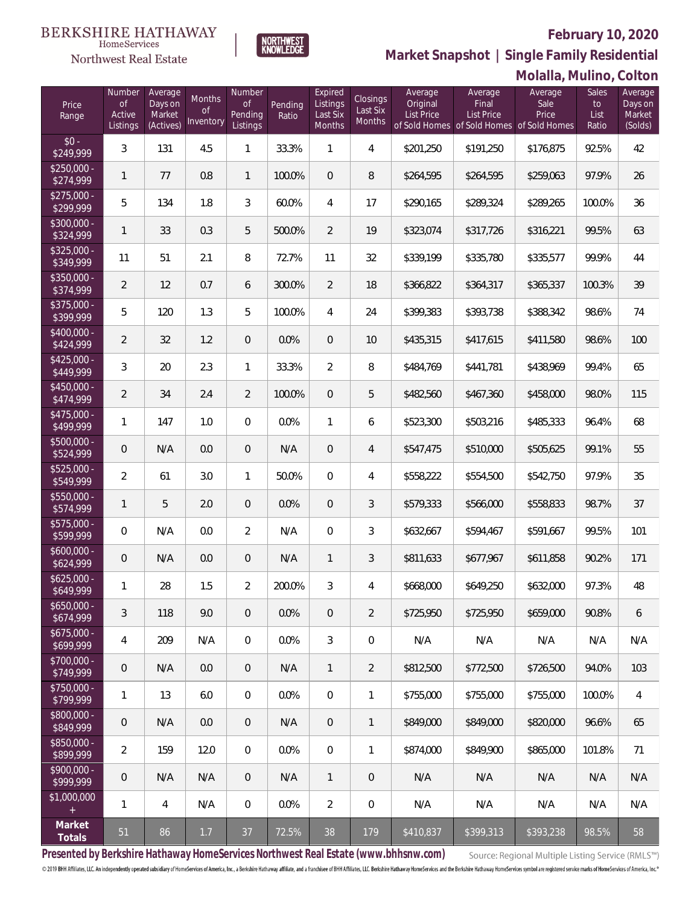**Molalla, Mulino, Colton**



Number

**NORTHWEST**<br>KNOWLEDGE

Expired

Northwest Real Estate

 $\frac{1}{\$32}\$ 

 $\frac{$35}{\$3}$ 

 $\frac{$37}{\$39}$ 

 $\frac{1}{1}$ <br>\$40<br>\$42

 $\frac{$52}{$54}$ 

 $rac{1}{$55}\$ 

 $\frac{$57}{$50}$ 

 $$60$ <br>\$62

 $$62$ 

 $$65$ <br> $$6$ 

 $$67$ <br>\$6<sup>0</sup>

 $\frac{$70}{$7}$ 

 $\frac{$75}{$70}$ 

 $$80$ <br> $$84$ 

\$85<br>\$80

 $$90$ 

 $$1,0$ 

**Market Snapshot | Single Family Residential**

**Average** 

**Average** 

| Price<br>Range                                  | Number<br><b>of</b><br>Active<br>Listings | Average<br>Days on<br>Market<br>(Actives) | Months<br><b>of</b><br>Inventory | Number<br>0f<br>Pending<br>Listings | Pending<br>Ratio | Expired<br>Listings<br>Last Six<br>Months | <b>Closings</b><br>Last Six<br><b>Months</b> | Average<br>Original<br><b>List Price</b> | Average<br>Final<br><b>List Price</b><br>of Sold Homes of Sold Homes of Sold Homes | Average<br>Sale<br>Price | Sales<br>to<br>List<br>Ratio | Average<br>Days on<br>Market<br>(Solds) |
|-------------------------------------------------|-------------------------------------------|-------------------------------------------|----------------------------------|-------------------------------------|------------------|-------------------------------------------|----------------------------------------------|------------------------------------------|------------------------------------------------------------------------------------|--------------------------|------------------------------|-----------------------------------------|
| $$0 -$<br>\$249,999                             | 3                                         | 131                                       | 4.5                              | 1                                   | 33.3%            | 1                                         | 4                                            | \$201,250                                | \$191,250                                                                          | \$176,875                | 92.5%                        | 42                                      |
| \$250,000 -<br>\$274,999                        | 1                                         | 77                                        | 0.8                              | $\mathbf{1}$                        | 100.0%           | $\overline{0}$                            | 8                                            | \$264.595                                | \$264,595                                                                          | \$259,063                | 97.9%                        | 26                                      |
| $$275,000 -$<br>\$299,999                       | 5                                         | 134                                       | 1.8                              | 3                                   | 60.0%            | $\overline{4}$                            | 17                                           | \$290,165                                | \$289,324                                                                          | \$289,265                | 100.0%                       | 36                                      |
| \$300,000 -<br>\$324,999                        | 1                                         | 33                                        | 0.3                              | 5                                   | 500.0%           | 2                                         | 19                                           | \$323,074                                | \$317,726                                                                          | \$316,221                | 99.5%                        | 63                                      |
| \$325,000 -<br>\$349,999                        | 11                                        | 51                                        | 2.1                              | 8                                   | 72.7%            | 11                                        | 32                                           | \$339,199                                | \$335,780                                                                          | \$335,577                | 99.9%                        | 44                                      |
| \$350,000 -<br>\$374,999                        | 2                                         | 12                                        | 0.7                              | 6                                   | 300.0%           | 2                                         | 18                                           | \$366,822                                | \$364,317                                                                          | \$365,337                | 100.3%                       | 39                                      |
| \$375,000 -<br>\$399,999                        | 5                                         | 120                                       | 1.3                              | 5                                   | 100.0%           | $\overline{4}$                            | 24                                           | \$399,383                                | \$393,738                                                                          | \$388,342                | 98.6%                        | 74                                      |
| \$400,000 -<br>\$424,999                        | $\overline{2}$                            | 32                                        | 1.2                              | $\overline{0}$                      | 0.0%             | $\overline{0}$                            | 10                                           | \$435,315                                | \$417,615                                                                          | \$411,580                | 98.6%                        | 100                                     |
| \$425,000 -<br>\$449,999                        | 3                                         | 20                                        | 2.3                              | $\mathbf{1}$                        | 33.3%            | $\overline{2}$                            | 8                                            | \$484,769                                | \$441,781                                                                          | \$438,969                | 99.4%                        | 65                                      |
| \$450,000 -<br>\$474,999                        | $\overline{2}$                            | 34                                        | 2.4                              | $\overline{2}$                      | 100.0%           | $\overline{0}$                            | 5                                            | \$482,560                                | \$467,360                                                                          | \$458,000                | 98.0%                        | 115                                     |
| \$475,000 -<br>\$499,999                        | 1                                         | 147                                       | 1.0                              | $\overline{0}$                      | 0.0%             | $\mathbf{1}$                              | 6                                            | \$523,300                                | \$503,216                                                                          | \$485,333                | 96.4%                        | 68                                      |
| \$500,000 -<br>\$524,999                        | $\mathbf{0}$                              | N/A                                       | 0.0                              | $\overline{0}$                      | N/A              | $\theta$                                  | 4                                            | \$547,475                                | \$510,000                                                                          | \$505,625                | 99.1%                        | 55                                      |
| \$525,000 -<br>\$549,999                        | $\overline{2}$                            | 61                                        | 3.0                              | 1                                   | 50.0%            | $\mathbf 0$                               | 4                                            | \$558,222                                | \$554,500                                                                          | \$542,750                | 97.9%                        | 35                                      |
| \$550,000 -<br>\$574,999                        | 1                                         | 5                                         | 2.0                              | $\overline{0}$                      | 0.0%             | $\theta$                                  | 3                                            | \$579,333                                | \$566,000                                                                          | \$558,833                | 98.7%                        | 37                                      |
| \$575,000 -<br>\$599,999                        | $\Omega$                                  | N/A                                       | 0.0                              | $\overline{2}$                      | N/A              | $\mathbf 0$                               | 3                                            | \$632,667                                | \$594,467                                                                          | \$591,667                | 99.5%                        | 101                                     |
| \$600,000 -<br>\$624,999                        | $\mathbf{0}$                              | N/A                                       | 0.0                              | $\overline{0}$                      | N/A              | $\mathbf{1}$                              | 3                                            | \$811,633                                | \$677,967                                                                          | \$611,858                | 90.2%                        | 171                                     |
| $$625,000 -$<br>\$649,999                       | 1                                         | 28                                        | 1.5                              | $\overline{2}$                      | 200.0%           | 3                                         | 4                                            | \$668,000                                | \$649,250                                                                          | \$632,000                | 97.3%                        | 48                                      |
| $$650,000 -$<br>\$674,999                       | 3                                         | 118                                       | 9.0                              | $\mathbf 0$                         | 0.0%             | $\overline{0}$                            | 2                                            | \$725,950                                | \$725,950                                                                          | \$659,000                | 90.8%                        | 6                                       |
| \$675,000 -<br>\$699,999                        | $\overline{4}$                            | 209                                       | N/A                              | 0                                   | 0.0%             | 3                                         | 0                                            | N/A                                      | N/A                                                                                | N/A                      | N/A                          | N/A                                     |
| \$700,000 -<br>\$749,999                        | $\mathbf 0$                               | N/A                                       | 0.0                              | $\overline{0}$                      | N/A              | 1                                         | 2                                            | \$812,500                                | \$772,500                                                                          | \$726,500                | 94.0%                        | 103                                     |
| \$750,000 -<br>\$799,999                        | $\mathbf{1}$                              | 13                                        | 6.0                              | 0                                   | 0.0%             | $\mathbf 0$                               | 1                                            | \$755,000                                | \$755,000                                                                          | \$755,000                | 100.0%                       | 4                                       |
| \$800,000 -<br>\$849,999                        | $\theta$                                  | N/A                                       | 0.0                              | $\overline{0}$                      | N/A              | $\mathbf 0$                               | 1                                            | \$849,000                                | \$849,000                                                                          | \$820,000                | 96.6%                        | 65                                      |
| \$850,000 -<br>\$899,999                        | $\overline{2}$                            | 159                                       | 12.0                             | 0                                   | 0.0%             | $\mathbf 0$                               | 1                                            | \$874,000                                | \$849,900                                                                          | \$865,000                | 101.8%                       | 71                                      |
| \$900,000 -<br>\$999,999                        | $\theta$                                  | N/A                                       | N/A                              | $\overline{0}$                      | N/A              | 1                                         | 0                                            | N/A                                      | N/A                                                                                | N/A                      | N/A                          | N/A                                     |
| \$1,000,000<br>$\begin{array}{c} + \end{array}$ | 1                                         | 4                                         | N/A                              | $\mathbf{0}$                        | 0.0%             | $\overline{2}$                            | 0                                            | N/A                                      | N/A                                                                                | N/A                      | N/A                          | N/A                                     |
| Market<br>Totals                                | 51                                        | 86                                        | 1.7                              | 37                                  | 72.5%            | 38                                        | 179                                          | \$410,837                                | \$399,313                                                                          | \$393,238                | 98.5%                        | 58                                      |

**Presented by Berkshire Hathaway HomeServices Northwest Real Estate (www.bhhsnw.com)**

Source: Regional Multiple Listing Service (RMLS™)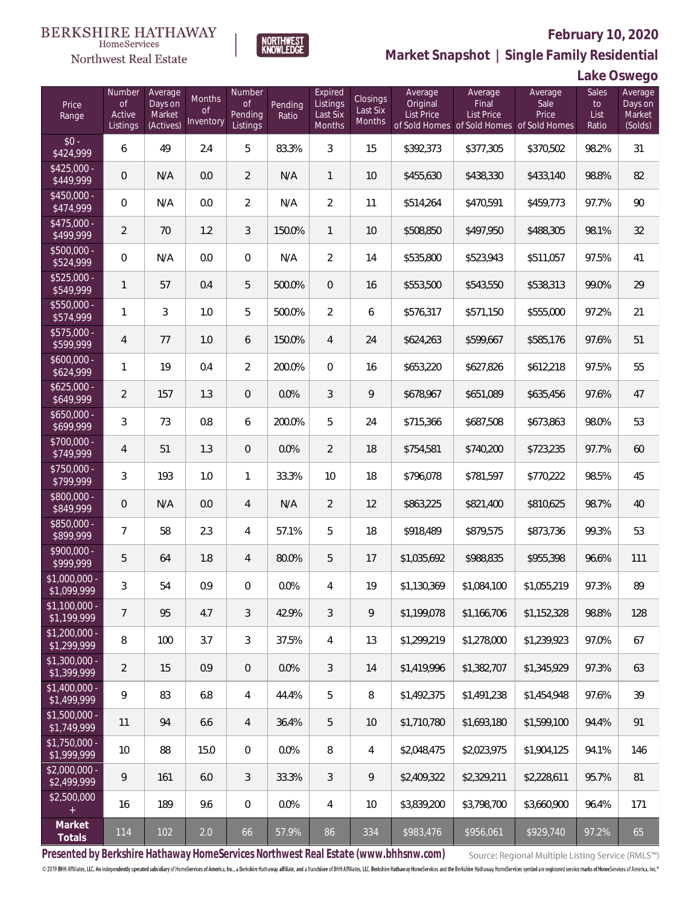**NORTHWEST**<br>KNOWLEDGE



# **February 10, 2020**

**Market Snapshot | Single Family Residential**

## **Lake Oswego**

| Price<br>Range                | Number<br><b>of</b><br>Active<br>Listings | Average<br>Days on<br>Market<br>(Actives) | Months<br><b>of</b><br>Inventory | Number<br><b>of</b><br>Pending<br>Listings | Pending<br>Ratio | Expired<br>Listings<br>Last Six<br>Months | <b>Closings</b><br>Last Six<br>Months | Average<br>Original<br><b>List Price</b> | Average<br>Final<br>List Price<br>of Sold Homes of Sold Homes of Sold Homes | Average<br>Sale<br>Price | Sales<br>to<br>List<br>Ratio | Average<br>Days on<br>Market<br>(Solds) |
|-------------------------------|-------------------------------------------|-------------------------------------------|----------------------------------|--------------------------------------------|------------------|-------------------------------------------|---------------------------------------|------------------------------------------|-----------------------------------------------------------------------------|--------------------------|------------------------------|-----------------------------------------|
| $$0 -$<br>\$424,999           | 6                                         | 49                                        | 2.4                              | 5                                          | 83.3%            | $\mathfrak{Z}$                            | 15                                    | \$392,373                                | \$377,305                                                                   | \$370,502                | 98.2%                        | 31                                      |
| $$425,000 -$<br>\$449,999     | 0                                         | N/A                                       | 0.0                              | $\overline{2}$                             | N/A              | $\mathbf{1}$                              | 10                                    | \$455,630                                | \$438,330                                                                   | \$433,140                | 98.8%                        | 82                                      |
| $$450,000 -$<br>\$474,999     | $\overline{0}$                            | N/A                                       | 0.0                              | $\overline{2}$                             | N/A              | $\overline{2}$                            | 11                                    | \$514,264                                | \$470,591                                                                   | \$459,773                | 97.7%                        | 90                                      |
| $$475,000 -$<br>\$499,999     | $\overline{2}$                            | 70                                        | 1.2                              | $\mathfrak{Z}$                             | 150.0%           | $\mathbf{1}$                              | 10                                    | \$508,850                                | \$497,950                                                                   | \$488,305                | 98.1%                        | 32                                      |
| $$500,000 -$<br>\$524,999     | $\overline{0}$                            | N/A                                       | 0.0                              | $\overline{0}$                             | N/A              | $\overline{2}$                            | 14                                    | \$535,800                                | \$523,943                                                                   | \$511,057                | 97.5%                        | 41                                      |
| $$525,000 -$<br>\$549,999     | $\mathbf{1}$                              | 57                                        | 0.4                              | 5                                          | 500.0%           | $\overline{0}$                            | 16                                    | \$553,500                                | \$543,550                                                                   | \$538,313                | 99.0%                        | 29                                      |
| $$550,000 -$<br>\$574,999     | 1                                         | 3                                         | 1.0                              | 5                                          | 500.0%           | $\overline{2}$                            | 6                                     | \$576,317                                | \$571,150                                                                   | \$555,000                | 97.2%                        | 21                                      |
| $$575,000 -$<br>\$599,999     | 4                                         | 77                                        | 1.0                              | 6                                          | 150.0%           | $\overline{4}$                            | 24                                    | \$624,263                                | \$599,667                                                                   | \$585,176                | 97.6%                        | 51                                      |
| $$600,000 -$<br>\$624,999     | 1                                         | 19                                        | 0.4                              | $\overline{2}$                             | 200.0%           | $\overline{0}$                            | 16                                    | \$653,220                                | \$627,826                                                                   | \$612,218                | 97.5%                        | 55                                      |
| $$625,000 -$<br>\$649,999     | $\overline{a}$                            | 157                                       | 1.3                              | $\overline{0}$                             | 0.0%             | $\mathfrak{Z}$                            | 9                                     | \$678,967                                | \$651,089                                                                   | \$635,456                | 97.6%                        | 47                                      |
| $$650,000 -$<br>\$699,999     | 3                                         | 73                                        | 0.8                              | 6                                          | 200.0%           | 5                                         | 24                                    | \$715,366                                | \$687,508                                                                   | \$673,863                | 98.0%                        | 53                                      |
| $$700,000 -$<br>\$749,999     | 4                                         | 51                                        | 1.3                              | $\overline{0}$                             | 0.0%             | $\overline{2}$                            | 18                                    | \$754,581                                | \$740,200                                                                   | \$723,235                | 97.7%                        | 60                                      |
| $$750,000 -$<br>\$799,999     | 3                                         | 193                                       | 1.0                              | $\mathbf{1}$                               | 33.3%            | 10                                        | 18                                    | \$796,078                                | \$781,597                                                                   | \$770,222                | 98.5%                        | 45                                      |
| \$800,000 -<br>849,999        | 0                                         | N/A                                       | 0.0                              | $\overline{4}$                             | N/A              | $\overline{2}$                            | 12                                    | \$863,225                                | \$821,400                                                                   | \$810,625                | 98.7%                        | 40                                      |
| $$850,000 -$<br>\$899,999     | 7                                         | 58                                        | 2.3                              | $\overline{4}$                             | 57.1%            | 5                                         | 18                                    | \$918,489                                | \$879,575                                                                   | \$873,736                | 99.3%                        | 53                                      |
| \$900,000 -<br>\$999,999      | 5                                         | 64                                        | 1.8                              | $\overline{4}$                             | 80.0%            | 5                                         | 17                                    | \$1,035,692                              | \$988,835                                                                   | \$955,398                | 96.6%                        | 111                                     |
| \$1,000,000 -<br>\$1,099,999  | 3                                         | 54                                        | 0.9                              | $\overline{0}$                             | 0.0%             | $\overline{4}$                            | 19                                    | \$1,130,369                              | \$1,084,100                                                                 | \$1,055,219              | 97.3%                        | 89                                      |
| $$1,100,000$ -<br>\$1,199,999 | $\overline{7}$                            | 95                                        | 4.7                              | 3                                          | 42.9%            | $\mathfrak{Z}$                            | 9                                     | \$1,199,078                              | \$1,166,706                                                                 | \$1,152,328              | 98.8%                        | 128                                     |
| \$1,200,000 -<br>\$1,299,999  | 8                                         | 100                                       | 3.7                              | 3                                          | 37.5%            | $\overline{4}$                            | 13                                    | \$1,299,219                              | \$1,278,000                                                                 | \$1,239,923              | 97.0%                        | 67                                      |
| \$1,300,000 -<br>\$1,399,999  | $\overline{2}$                            | 15                                        | 0.9                              | $\overline{0}$                             | 0.0%             | $\mathfrak{Z}$                            | 14                                    | \$1,419,996                              | \$1,382,707                                                                 | \$1,345,929              | 97.3%                        | 63                                      |
| $$1,400,000$ -<br>\$1,499,999 | 9                                         | 83                                        | 6.8                              | $\overline{4}$                             | 44.4%            | 5                                         | 8                                     | \$1,492,375                              | \$1,491,238                                                                 | \$1,454,948              | 97.6%                        | 39                                      |
| \$1,500,000 -<br>\$1,749,999  | 11                                        | 94                                        | 6.6                              | $\overline{4}$                             | 36.4%            | 5                                         | 10                                    | \$1,710,780                              | \$1,693,180                                                                 | \$1,599,100              | 94.4%                        | 91                                      |
| $$1,750,000 -$<br>\$1,999,999 | 10                                        | 88                                        | 15.0                             | $\mathbf 0$                                | 0.0%             | 8                                         | $\overline{4}$                        | \$2,048,475                              | \$2,023,975                                                                 | \$1,904,125              | 94.1%                        | 146                                     |
| $$2,000,000 -$<br>\$2,499,999 | 9                                         | 161                                       | 6.0                              | 3                                          | 33.3%            | $\mathfrak{Z}$                            | 9                                     | \$2,409,322                              | \$2,329,211                                                                 | \$2,228,611              | 95.7%                        | 81                                      |
| \$2,500,000<br>$+$            | 16                                        | 189                                       | 9.6                              | $\mathbf 0$                                | 0.0%             | $\overline{4}$                            | 10                                    | \$3,839,200                              | \$3,798,700                                                                 | \$3,660,900              | 96.4%                        | 171                                     |
| Market<br>Totals              | 114                                       | 102                                       | $2.0\,$                          | 66                                         | 57.9%            | 86                                        | 334                                   | \$983,476                                | \$956,061                                                                   | \$929,740                | 97.2%                        | 65                                      |

**Presented by Berkshire Hathaway HomeServices Northwest Real Estate (www.bhhsnw.com)**

Source: Regional Multiple Listing Service (RMLS™)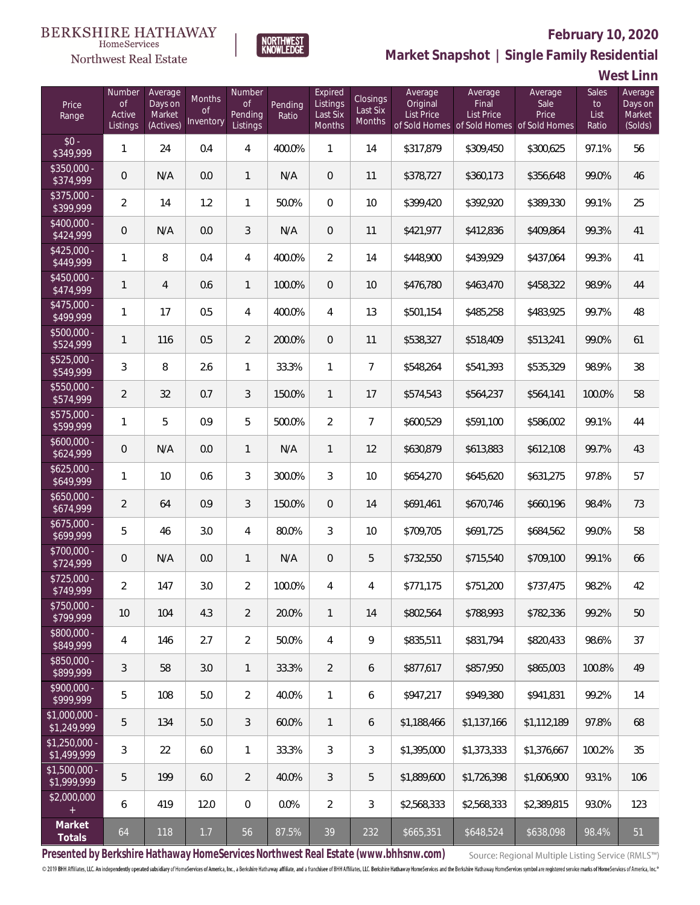## Northwest Real Estate



# **February 10, 2020**

**Market Snapshot | Single Family Residential**

**West Linn**

| Price<br>Range                | Number<br><b>of</b><br>Active<br>Listings | Average<br>Days on<br>Market<br>(Actives) | Months<br>Οf<br>Inventory | Number<br><b>of</b><br>Pending<br>Listings | Pending<br>Ratio | Expired<br>Listings<br>Last Six<br>Months | Closings<br>Last Six<br>Months | Average<br>Original<br><b>List Price</b> | Average<br>Final<br><b>List Price</b><br>of Sold Homes of Sold Homes of Sold Homes | Average<br>Sale<br>Price | Sales<br>to<br>List<br>Ratio | Average<br>Days on<br>Market<br>(Solds) |
|-------------------------------|-------------------------------------------|-------------------------------------------|---------------------------|--------------------------------------------|------------------|-------------------------------------------|--------------------------------|------------------------------------------|------------------------------------------------------------------------------------|--------------------------|------------------------------|-----------------------------------------|
| $$0 -$<br>\$349,999           | $\mathbf{1}$                              | 24                                        | 0.4                       | 4                                          | 400.0%           | 1                                         | 14                             | \$317,879                                | \$309,450                                                                          | \$300,625                | 97.1%                        | 56                                      |
| $$350,000 -$<br>\$374,999     | $\overline{0}$                            | N/A                                       | 0.0                       | $\mathbf{1}$                               | N/A              | $\overline{0}$                            | 11                             | \$378,727                                | \$360,173                                                                          | \$356,648                | 99.0%                        | 46                                      |
| $$375,000 -$<br>\$399,999     | $\overline{2}$                            | 14                                        | 1.2                       | $\mathbf{1}$                               | 50.0%            | $\Omega$                                  | 10                             | \$399,420                                | \$392,920                                                                          | \$389,330                | 99.1%                        | 25                                      |
| $$400,000 -$<br>\$424,999     | $\overline{0}$                            | N/A                                       | 0.0                       | 3                                          | N/A              | $\overline{0}$                            | 11                             | \$421,977                                | \$412,836                                                                          | \$409,864                | 99.3%                        | 41                                      |
| $$425,000 -$<br>\$449,999     | $\mathbf{1}$                              | 8                                         | 0.4                       | 4                                          | 400.0%           | $\overline{2}$                            | 14                             | \$448,900                                | \$439,929                                                                          | \$437,064                | 99.3%                        | 41                                      |
| $$450,000 -$<br>\$474,999     | $\mathbf{1}$                              | $\overline{4}$                            | 0.6                       | $\mathbf{1}$                               | 100.0%           | $\overline{0}$                            | 10                             | \$476,780                                | \$463,470                                                                          | \$458,322                | 98.9%                        | 44                                      |
| $$475,000 -$<br>\$499,999     | $\mathbf{1}$                              | 17                                        | 0.5                       | 4                                          | 400.0%           | $\overline{4}$                            | 13                             | \$501,154                                | \$485,258                                                                          | \$483,925                | 99.7%                        | 48                                      |
| \$500,000 -<br>\$524,999      | $\mathbf{1}$                              | 116                                       | 0.5                       | $\overline{2}$                             | 200.0%           | $\overline{0}$                            | 11                             | \$538,327                                | \$518,409                                                                          | \$513,241                | 99.0%                        | 61                                      |
| $$525,000 -$<br>\$549,999     | 3                                         | 8                                         | 2.6                       | $\mathbf{1}$                               | 33.3%            | $\mathbf{1}$                              | $\overline{7}$                 | \$548,264                                | \$541,393                                                                          | \$535,329                | 98.9%                        | 38                                      |
| \$550,000 -<br>\$574,999      | $\overline{2}$                            | 32                                        | 0.7                       | 3                                          | 150.0%           | $\mathbf{1}$                              | 17                             | \$574,543                                | \$564,237                                                                          | \$564,141                | 100.0%                       | 58                                      |
| \$575,000 -<br>\$599,999      | $\mathbf{1}$                              | 5                                         | 0.9                       | 5                                          | 500.0%           | $\overline{2}$                            | $\overline{7}$                 | \$600,529                                | \$591,100                                                                          | \$586,002                | 99.1%                        | 44                                      |
| $$600,000 -$<br>\$624,999     | $\overline{0}$                            | N/A                                       | 0.0                       | $\mathbf{1}$                               | N/A              | $\mathbf{1}$                              | 12                             | \$630,879                                | \$613,883                                                                          | \$612,108                | 99.7%                        | 43                                      |
| $$625,000 -$<br>\$649,999     | 1                                         | 10                                        | 0.6                       | $\mathfrak{Z}$                             | 300.0%           | 3                                         | 10                             | \$654,270                                | \$645,620                                                                          | \$631,275                | 97.8%                        | 57                                      |
| $$650,000 -$<br>\$674,999     | $\overline{2}$                            | 64                                        | 0.9                       | 3                                          | 150.0%           | $\overline{0}$                            | 14                             | \$691,461                                | \$670,746                                                                          | \$660,196                | 98.4%                        | 73                                      |
| $$675,000 -$<br>\$699,999     | 5                                         | 46                                        | 3.0                       | $\overline{4}$                             | 80.0%            | 3                                         | 10                             | \$709,705                                | \$691,725                                                                          | \$684,562                | 99.0%                        | 58                                      |
| $$700,000 -$<br>\$724,999     | 0                                         | N/A                                       | 0.0                       | $\mathbf{1}$                               | N/A              | $\overline{0}$                            | 5                              | \$732,550                                | \$715,540                                                                          | \$709,100                | 99.1%                        | 66                                      |
| $$725,000 -$<br>\$749,999     | $\overline{a}$                            | 147                                       | 3.0                       | $\overline{2}$                             | 100.0%           | 4                                         | $\overline{4}$                 | \$771,175                                | \$751,200                                                                          | \$737,475                | 98.2%                        | 42                                      |
| $$750,000 -$<br>\$799,999     | 10                                        | 104                                       | 4.3                       | $\overline{2}$                             | 20.0%            | $\mathbf{1}$                              | 14                             | \$802,564                                | \$788,993                                                                          | \$782,336                | 99.2%                        | 50                                      |
| $$800,000 -$<br>\$849,999     | 4                                         | 146                                       | 2.7                       | $\overline{2}$                             | 50.0%            | 4                                         | 9                              | \$835,511                                | \$831,794                                                                          | \$820,433                | 98.6%                        | 37                                      |
| $$850,000 -$<br>\$899,999     | $\mathfrak{Z}$                            | 58                                        | 3.0                       | $\mathbf{1}$                               | 33.3%            | $\overline{2}$                            | 6                              | \$877,617                                | \$857,950                                                                          | \$865,003                | 100.8%                       | 49                                      |
| $$900,000 -$<br>\$999,999     | 5                                         | 108                                       | 5.0                       | $\overline{2}$                             | 40.0%            | $\mathbf{1}$                              | 6                              | \$947,217                                | \$949,380                                                                          | \$941,831                | 99.2%                        | 14                                      |
| \$1,000,000 -<br>\$1,249,999  | 5                                         | 134                                       | 5.0                       | 3                                          | 60.0%            | $\mathbf{1}$                              | 6                              | \$1,188,466                              | \$1,137,166                                                                        | \$1,112,189              | 97.8%                        | 68                                      |
| $$1,250,000 -$<br>\$1,499,999 | $\mathfrak{Z}$                            | 22                                        | 6.0                       | $\mathbf{1}$                               | 33.3%            | 3                                         | $\sqrt{3}$                     | \$1,395,000                              | \$1,373,333                                                                        | \$1,376,667              | 100.2%                       | 35                                      |
| $$1,500,000 -$<br>\$1,999,999 | 5                                         | 199                                       | 6.0                       | $\overline{2}$                             | 40.0%            | 3                                         | 5                              | \$1,889,600                              | \$1,726,398                                                                        | \$1,606,900              | 93.1%                        | 106                                     |
| \$2,000,000<br>$+$            | 6                                         | 419                                       | 12.0                      | $\mathbf 0$                                | 0.0%             | $\overline{2}$                            | $\mathfrak{Z}$                 | \$2,568,333                              | \$2,568,333                                                                        | \$2,389,815              | 93.0%                        | 123                                     |
| Market<br>Totals              | 64                                        | 118                                       | 1.7                       | 56                                         | 87.5%            | 39                                        | 232                            | \$665,351                                | \$648,524                                                                          | \$638,098                | 98.4%                        | 51                                      |

**Presented by Berkshire Hathaway HomeServices Northwest Real Estate (www.bhhsnw.com)**

Source: Regional Multiple Listing Service (RMLS™)